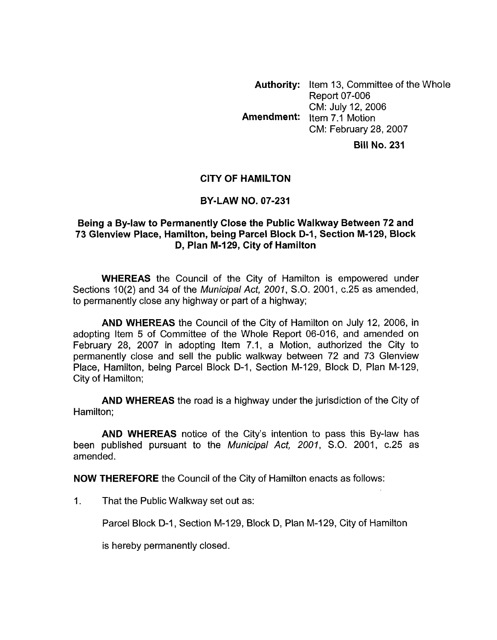**Authority:** Item 13, Committee of the Whole Report 07-006 CM: July 12,2006 CM: February 28,2007 **Bill No. 231 hnendment:** Item 7.1 Motion

## **CITY OF HAMILTON**

## **BY-LAW NO. 07-231**

## **Being a By-law to Permanently Close the Public Walkway Between 72 and 73 Glenview Place, Hamilton, being Parcel Block D-I, Section M-I 29, Block D, Plan M-129, City of Hamilton**

**WHEREAS** the Council of the City of Hamilton is empowered under Sections lO(2) and 34 of the *Municipal Act, 2001, S.O.* 2001, c.25 as amended, to permanently close any highway or part of a highway;

**AND WHEREAS** the Council of the City of Hamilton on July 12, 2006, in adopting Item 5 of Committee of the Whole Report 06-016, and amended on February 28, 2007 in adopting Item 7.1, a Motion, authorized the City to permanently close and sell the public walkway between 72 and 73 Glenview Place, Hamilton, being Parcel Block D-1, Section M-129, Block D, Plan M-129, City of Hamilton;

**AND WHEREAS** the road is a highway under the jurisdiction of the City of Hamilton;

**AND WHEREAS** notice of the City's intention to pass this By-law has been published pursuant to the *Municipal Act, 2001, S.O.* 2001, c.25 as amended.

**NOW THEREFORE** the Council of the City of Hamilton enacts as follows:

1. That the Public Walkway set out as:

Parcel Block D-1, Section M-129, Block D, Plan M-129, City of Hamilton

is hereby permanently closed.